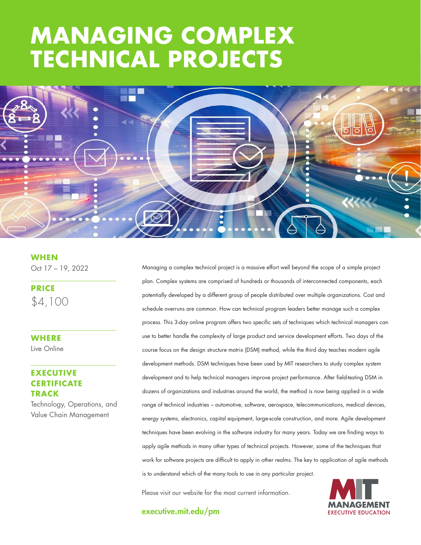# **THE GOOD SECTS STRATEGY: MANAGING COMPLEX TECHNICAL PROJECTS**



**WHEN** Oct 17 – 19, 2022

**PRICE** \$4,100

**WHERE**  Live Online

## **EXECUTIVE CERTIFICATE TRACK**

Technology, Operations, and Value Chain Management

Managing a complex technical project is a massive effort well beyond the scope of a simple project plan. Complex systems are comprised of hundreds or thousands of interconnected components, each potentially developed by a different group of people distributed over multiple organizations. Cost and schedule overruns are common. How can technical program leaders better manage such a complex process. This 3-day online program offers two specific sets of techniques which technical managers can use to better handle the complexity of large product and service development efforts. Two days of the course focus on the design structure matrix (DSM) method, while the third day teaches modern agile development methods. DSM techniques have been used by MIT researchers to study complex system development and to help technical managers improve project performance. After field-testing DSM in dozens of organizations and industries around the world, the method is now being applied in a wide range of technical industries – automotive, software, aerospace, telecommunications, medical devices, energy systems, electronics, capital equipment, large-scale construction, and more. Agile development techniques have been evolving in the software industry for many years. Today we are finding ways to apply agile methods in many other types of technical projects. However, some of the techniques that work for software projects are difficult to apply in other realms. The key to application of agile methods is to understand which of the many tools to use in any particular project.

Please visit our website for the most current information.



executive.mit.edu/pm